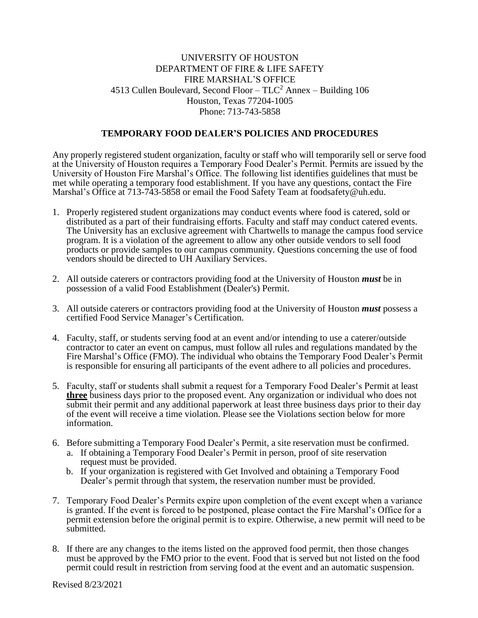## UNIVERSITY OF HOUSTON DEPARTMENT OF FIRE & LIFE SAFETY FIRE MARSHAL'S OFFICE 4513 Cullen Boulevard, Second Floor –  $TLC^2$  Annex – Building 106 Houston, Texas 77204-1005 Phone: 713-743-5858

#### **TEMPORARY FOOD DEALER'S POLICIES AND PROCEDURES**

Any properly registered student organization, faculty or staff who will temporarily sell or serve food at the University of Houston requires a Temporary Food Dealer's Permit. Permits are issued by the University of Houston Fire Marshal's Office. The following list identifies guidelines that must be met while operating a temporary food establishment. If you have any questions, contact the Fire Marshal's Office at 713-743-5858 or email the Food Safety Team at foodsafet[y@uh.edu.](mailto:foodsaftey@uh.edu) 

- 1. Properly registered student organizations may conduct events where food is catered, sold or distributed as a part of their fundraising efforts. Faculty and staff may conduct catered events. The University has an exclusive agreement with Chartwells to manage the campus food service program. It is a violation of the agreement to allow any other outside vendors to sell food products or provide samples to our campus community. Questions concerning the use of food vendors should be directed to UH Auxiliary Services.
- 2. All outside caterers or contractors providing food at the University of Houston *must* be in possession of a valid Food Establishment (Dealer's) Permit.
- 3. All outside caterers or contractors providing food at the University of Houston *must* possess a certified Food Service Manager's Certification.
- 4. Faculty, staff, or students serving food at an event and/or intending to use a caterer/outside contractor to cater an event on campus, must follow all rules and regulations mandated by the Fire Marshal's Office (FMO). The individual who obtains the Temporary Food Dealer's Permit is responsible for ensuring all participants of the event adhere to all policies and procedures.
- 5. Faculty, staff or students shall submit a request for a Temporary Food Dealer's Permit at least **three** business days prior to the proposed event. Any organization or individual who does not submit their permit and any additional paperwork at least three business days prior to their day of the event will receive a time violation. Please see the Violations section below for more information.
- 6. Before submitting a Temporary Food Dealer's Permit, a site reservation must be confirmed.
	- a. If obtaining a Temporary Food Dealer's Permit in person, proof of site reservation request must be provided.
	- b. If your organization is registered with Get Involved and obtaining a Temporary Food Dealer's permit through that system, the reservation number must be provided.
- 7. Temporary Food Dealer's Permits expire upon completion of the event except when a variance is granted. If the event is forced to be postponed, please contact the Fire Marshal's Office for a permit extension before the original permit is to expire. Otherwise, a new permit will need to be submitted.
- 8. If there are any changes to the items listed on the approved food permit, then those changes must be approved by the FMO prior to the event. Food that is served but not listed on the food permit could result in restriction from serving food at the event and an automatic suspension.

Revised 8/23/2021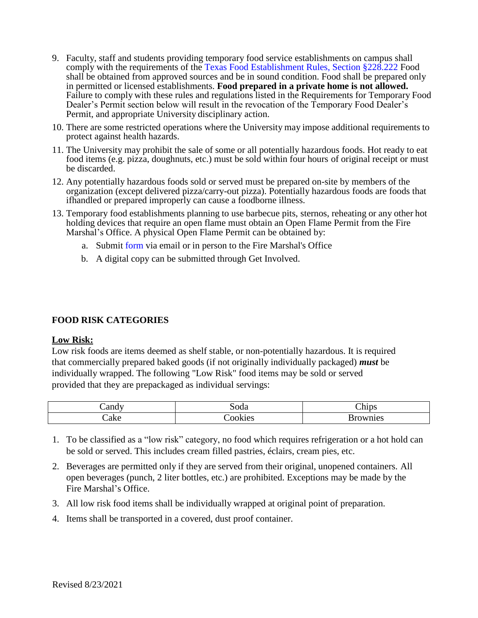- 9. Faculty, staff and students providing temporary food service establishments on campus shall comply with the requirements of the [Texas Food Establishment Rules, Section §228.222](https://texreg.sos.state.tx.us/public/readtac%24ext.TacPage?sl=R&app=9&p_dir&p_rloc&p_tloc&p_ploc&pg=1&p_tac&ti=25&pt=1&ch=228&rl=222) Food shall be obtained from approved sources and be in sound condition. Food shall be prepared only in permitted or licensed establishments. **Food prepared in a private home is not allowed.** Failure to comply with these rules and regulations listed in the Requirements for Temporary Food Dealer's Permit section below will result in the revocation of the Temporary Food Dealer's Permit, and appropriate University disciplinary action.
- 10. There are some restricted operations where the University may impose additional requirements to protect against health hazards.
- 11. The University may prohibit the sale of some or all potentially hazardous foods. Hot ready to eat food items (e.g. pizza, doughnuts, etc.) must be sold within four hours of original receipt or must be discarded.
- 12. Any potentially hazardous foods sold or served must be prepared on-site by members of the organization (except delivered pizza/carry-out pizza). Potentially hazardous foods are foods that ifhandled or prepared improperly can cause a foodborne illness.
- 13. Temporary food [establishments planning](http://www.uh.edu/fire/forms/OpenFlamePermit.pdf) to use barbecue pits, sternos, reheating or any other hot holding devices that require an open flame must obtain an Open Flame Permit from the Fire Marshal's Office. A physical Open Flame Permit can be obtained by:
	- a. Submit [form](https://uh.edu/ehls/fire/permits/open-flame/) via email or in person to the Fire Marshal's Office
	- b. A digital copy can be submitted through Get Involved.

## **FOOD RISK CATEGORIES**

### **Low Risk:**

Low risk foods are items deemed as shelf stable, or non-potentially hazardous. It is required that commercially prepared baked goods (if not originally individually packaged) *must* be individually wrapped. The following "Low Risk" food items may be sold or served provided that they are prepackaged as individual servings:

| _andv | oda                              | --<br>hids. |
|-------|----------------------------------|-------------|
| ake   | $\cdot$ $\mathbf{A}$<br>M<br>IU. | mes<br>. .  |

- 1. To be classified as a "low risk" category, no food which requires refrigeration or a hot hold can be sold or served. This includes cream filled pastries, éclairs, cream pies, etc.
- 2. Beverages are permitted only if they are served from their original, unopened containers. All open beverages (punch, 2 liter bottles, etc.) are prohibited. Exceptions may be made by the Fire Marshal's Office.
- 3. All low risk food items shall be individually wrapped at original point of preparation.
- 4. Items shall be transported in a covered, dust proof container.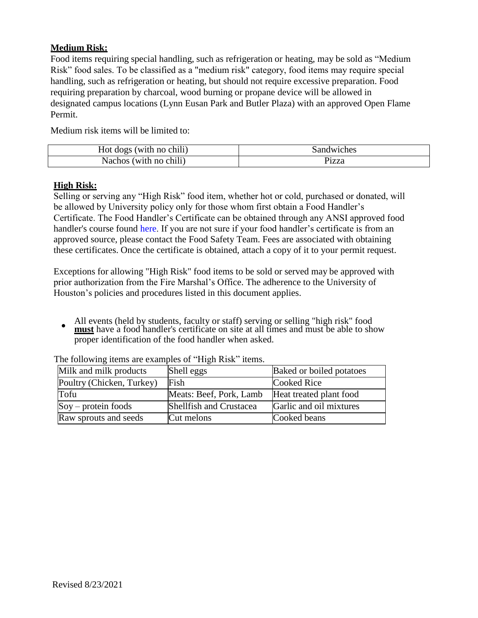# **Medium Risk:**

Food items requiring special handling, such as refrigeration or heating, may be sold as "Medium Risk" food sales. To be classified as a "medium risk" category, food items may require special handling, such as refrigeration or heating, but should not require excessive preparation. Food requiring preparation by charcoal, wood burning or propane device will be allowed in designated campus locations (Lynn Eusan Park and Butler Plaza) with an approved Open Flame Permit.

Medium risk items will be limited to:

| Hot dogs (with no chili) | Sandwiches |
|--------------------------|------------|
| Nachos (with no chili)   | Pizza      |

## **High Risk:**

Selling or serving any "High Risk" food item, whether hot or cold, purchased or donated, will be allowed by University policy only for those whom first obtain a Food Handler's Certificate. The Food Handler's Certificate can be obtained through any ANSI approved food handler's course found [here.](https://www.dshs.texas.gov/food-handlers/training/online.aspx) If you are not sure if your food handler's certificate is from an approved source, please contact the Food Safety Team. Fees are associated with obtaining these certificates. Once the certificate is obtained, attach a copy of it to your permit request.

Exceptions for allowing "High Risk" food items to be sold or served may be approved with prior authorization from the Fire Marshal's Office. The adherence to the University of Houston's policies and procedures listed in this document applies.

 $\bullet$ All events (held by students, faculty or staff) serving or selling "high risk" food **must** have a food handler's certificate on site at all times and must be able to show proper identification of the food handler when asked.

| Milk and milk products       | Shell eggs                     | Baked or boiled potatoes |
|------------------------------|--------------------------------|--------------------------|
| Poultry (Chicken, Turkey)    | Fish                           | Cooked Rice              |
| Tofu                         | Meats: Beef, Pork, Lamb        | Heat treated plant food  |
| $\text{Soy}$ – protein foods | <b>Shellfish and Crustacea</b> | Garlic and oil mixtures  |
| Raw sprouts and seeds        | Cut melons                     | Cooked beans             |

The following items are examples of "High Risk" items.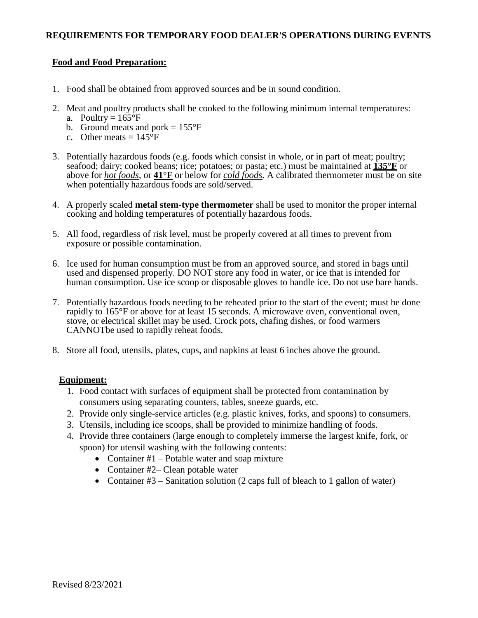## **Food and Food Preparation:**

- 1. Food shall be obtained from approved sources and be in sound condition.
- 2. Meat and poultry products shall be cooked to the following minimum internal temperatures:
	- a. Poultry =  $165^{\circ}F$
	- b. Ground meats and pork  $= 155^{\circ}F$
	- c. Other meats  $= 145^{\circ}F$
- 3. Potentially hazardous foods (e.g. foods which consist in whole, or in part of meat; poultry; seafood; dairy; cooked beans; rice; potatoes; or pasta; etc.) must be maintained at **135°F** or above for *hot foods*, or **41°F** or below for *cold foods*. A calibrated thermometer must be on site when potentially hazardous foods are sold/served.
- 4. A properly scaled **metal stem-type thermometer** shall be used to monitor the proper internal cooking and holding temperatures of potentially hazardous foods.
- 5. All food, regardless of risk level, must be properly covered at all times to prevent from exposure or possible contamination.
- 6. Ice used for human consumption must be from an approved source, and stored in bags until used and dispensed properly. DO NOT store any food in water, or ice that is intended for human consumption. Use ice scoop or disposable gloves to handle ice. Do not use bare hands.
- 7. Potentially hazardous foods needing to be reheated prior to the start of the event; must be done rapidly to 165°F or above for at least 15 seconds. A microwave oven, conventional oven, stove, or electrical skillet may be used. Crock pots, chafing dishes, or food warmers CANNOTbe used to rapidly reheat foods.
- 8. Store all food, utensils, plates, cups, and napkins at least 6 inches above the ground.

### **Equipment:**

- 1. Food contact with surfaces of equipment shall be protected from contamination by consumers using separating counters, tables, sneeze guards, etc.
- 2. Provide only single-service articles (e.g. plastic knives, forks, and spoons) to consumers.
- 3. Utensils, including ice scoops, shall be provided to minimize handling of foods.
- 4. Provide three containers (large enough to completely immerse the largest knife, fork, or spoon) for utensil washing with the following contents:
	- Container  $#1$  Potable water and soap mixture
	- Container #2– Clean potable water
	- Container  $#3$  Sanitation solution (2 caps full of bleach to 1 gallon of water)